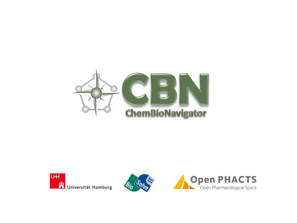



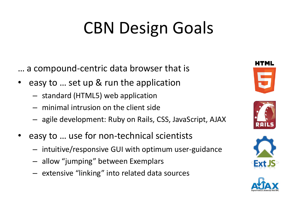# CBN Design Goals

… a compound-centric data browser that is

- easy to ... set up & run the application
	- standard (HTML5) web application
	- minimal intrusion on the client side
	- agile development: Ruby on Rails, CSS, JavaScript, AJAX
- easy to … use for non-technical scientists
	- intuitive/responsive GUI with optimum user-guidance
	- allow "jumping" between Exemplars
	- extensive "linking" into related data sources







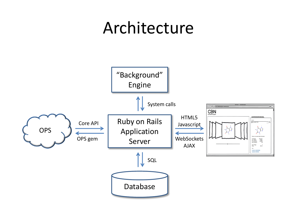#### Architecture

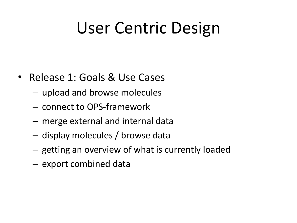## User Centric Design

- Release 1: Goals & Use Cases
	- upload and browse molecules
	- connect to OPS-framework
	- merge external and internal data
	- display molecules / browse data
	- getting an overview of what is currently loaded
	- export combined data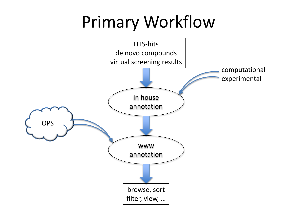## Primary Workflow

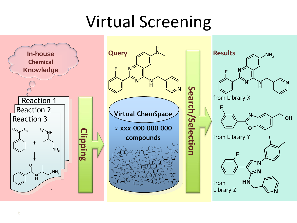## Virtual Screening

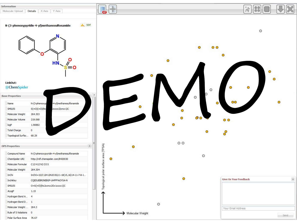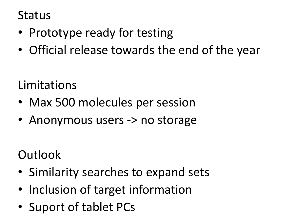#### **Status**

- Prototype ready for testing
- Official release towards the end of the year

Limitations

- Max 500 molecules per session
- Anonymous users -> no storage

**Outlook** 

- Similarity searches to expand sets
- Inclusion of target information
- Suport of tablet PCs